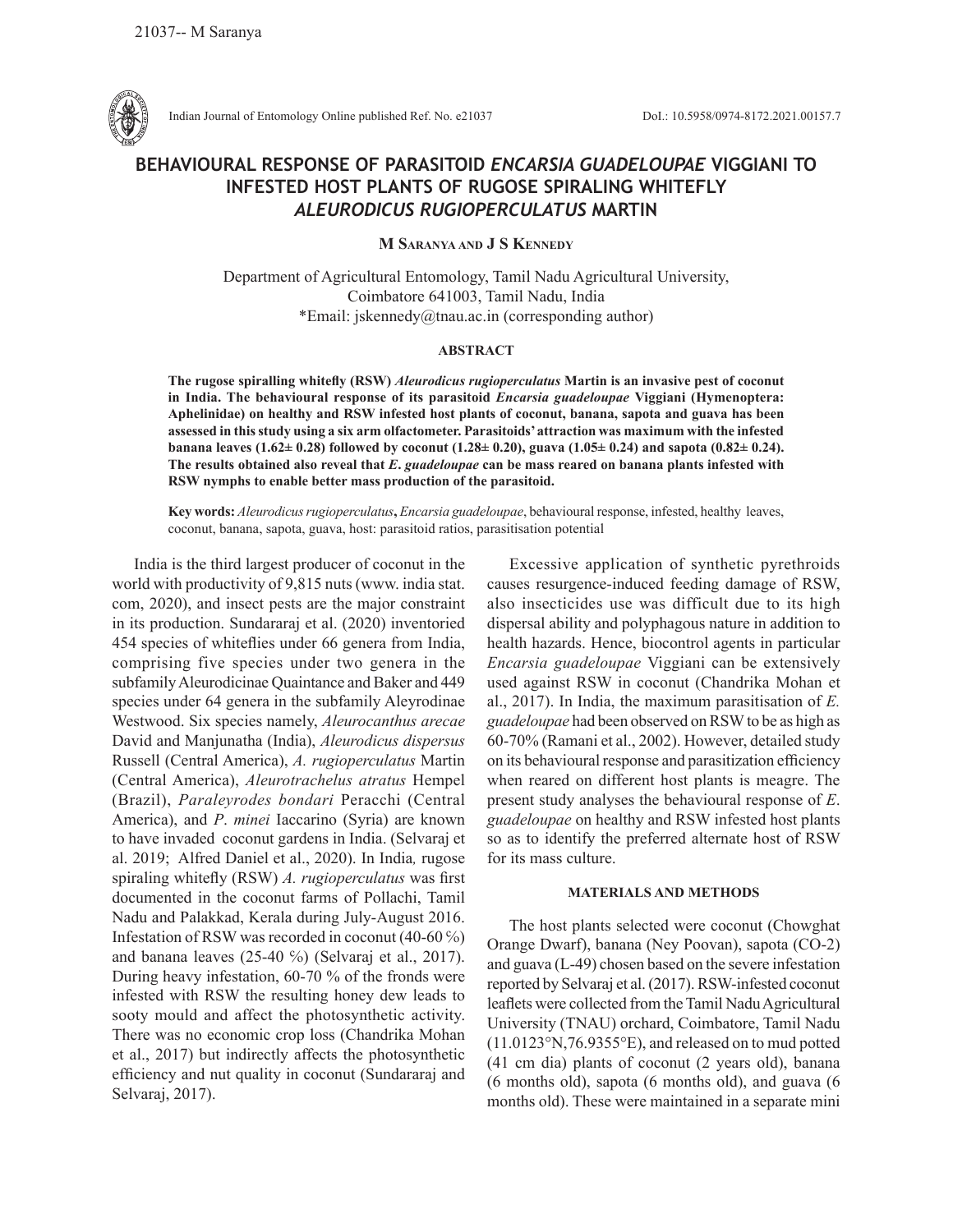

Indian Journal of Entomology Online published Ref. No. e21037 DoI.: 10.5958/0974-8172.2021.00157.7

# **BEHAVIOURAL RESPONSE OF PARASITOID** *ENCARSIA GUADELOUPAE* **VIGGIANI TO INFESTED HOST PLANTS OF RUGOSE SPIRALING WHITEFLY**  *ALEURODICUS RUGIOPERCULATUS* **MARTIN**

**M Saranya and J S Kennedy**

Department of Agricultural Entomology, Tamil Nadu Agricultural University, Coimbatore 641003, Tamil Nadu, India \*Email: jskennedy@tnau.ac.in (corresponding author)

### **ABSTRACT**

**The rugose spiralling whitefly (RSW)** *Aleurodicus rugioperculatus* **Martin is an invasive pest of coconut in India. The behavioural response of its parasitoid** *Encarsia guadeloupae* **Viggiani (Hymenoptera: Aphelinidae) on healthy and RSW infested host plants of coconut, banana, sapota and guava has been assessed in this study using a six arm olfactometer. Parasitoids' attraction was maximum with the infested banana leaves (1.62± 0.28) followed by coconut (1.28± 0.20), guava (1.05± 0.24) and sapota (0.82± 0.24). The results obtained also reveal that** *E***.** *guadeloupae* **can be mass reared on banana plants infested with RSW nymphs to enable better mass production of the parasitoid.**

**Key words:** *Aleurodicus rugioperculatus***,** *Encarsia guadeloupae*, behavioural response, infested, healthy leaves, coconut, banana, sapota, guava, host: parasitoid ratios, parasitisation potential

India is the third largest producer of coconut in the world with productivity of 9,815 nuts (www. india stat. com, 2020), and insect pests are the major constraint in its production. Sundararaj et al. (2020) inventoried 454 species of whiteflies under 66 genera from India, comprising five species under two genera in the subfamily Aleurodicinae Quaintance and Baker and 449 species under 64 genera in the subfamily Aleyrodinae Westwood. Six species namely, *Aleurocanthus arecae* David and Manjunatha (India), *Aleurodicus dispersus* Russell (Central America), *A. rugioperculatus* Martin (Central America), *Aleurotrachelus atratus* Hempel (Brazil), *Paraleyrodes bondari* Peracchi (Central America), and *P*. *minei* Iaccarino (Syria) are known to have invaded coconut gardens in India. (Selvaraj et al. 2019; Alfred Daniel et al., 2020). In India*,* rugose spiraling whitefly (RSW) *A. rugioperculatus* was first documented in the coconut farms of Pollachi, Tamil Nadu and Palakkad, Kerala during July-August 2016. Infestation of RSW was recorded in coconut (40-60 ℅) and banana leaves (25-40 ℅) (Selvaraj et al., 2017). During heavy infestation, 60-70 % of the fronds were infested with RSW the resulting honey dew leads to sooty mould and affect the photosynthetic activity. There was no economic crop loss (Chandrika Mohan et al., 2017) but indirectly affects the photosynthetic efficiency and nut quality in coconut (Sundararaj and Selvaraj, 2017).

Excessive application of synthetic pyrethroids causes resurgence-induced feeding damage of RSW, also insecticides use was difficult due to its high dispersal ability and polyphagous nature in addition to health hazards. Hence, biocontrol agents in particular *Encarsia guadeloupae* Viggiani can be extensively used against RSW in coconut (Chandrika Mohan et al., 2017). In India, the maximum parasitisation of *E. guadeloupae* had been observed on RSW to be as high as 60-70% (Ramani et al., 2002). However, detailed study on its behavioural response and parasitization efficiency when reared on different host plants is meagre. The present study analyses the behavioural response of *E*. *guadeloupae* on healthy and RSW infested host plants so as to identify the preferred alternate host of RSW for its mass culture.

#### **MATERIALS AND METHODS**

The host plants selected were coconut (Chowghat Orange Dwarf), banana (Ney Poovan), sapota (CO-2) and guava (L-49) chosen based on the severe infestation reported by Selvaraj et al. (2017). RSW-infested coconut leaflets were collected from the Tamil Nadu Agricultural University (TNAU) orchard, Coimbatore, Tamil Nadu (11.0123°N,76.9355°E), and released on to mud potted (41 cm dia) plants of coconut (2 years old), banana (6 months old), sapota (6 months old), and guava (6 months old). These were maintained in a separate mini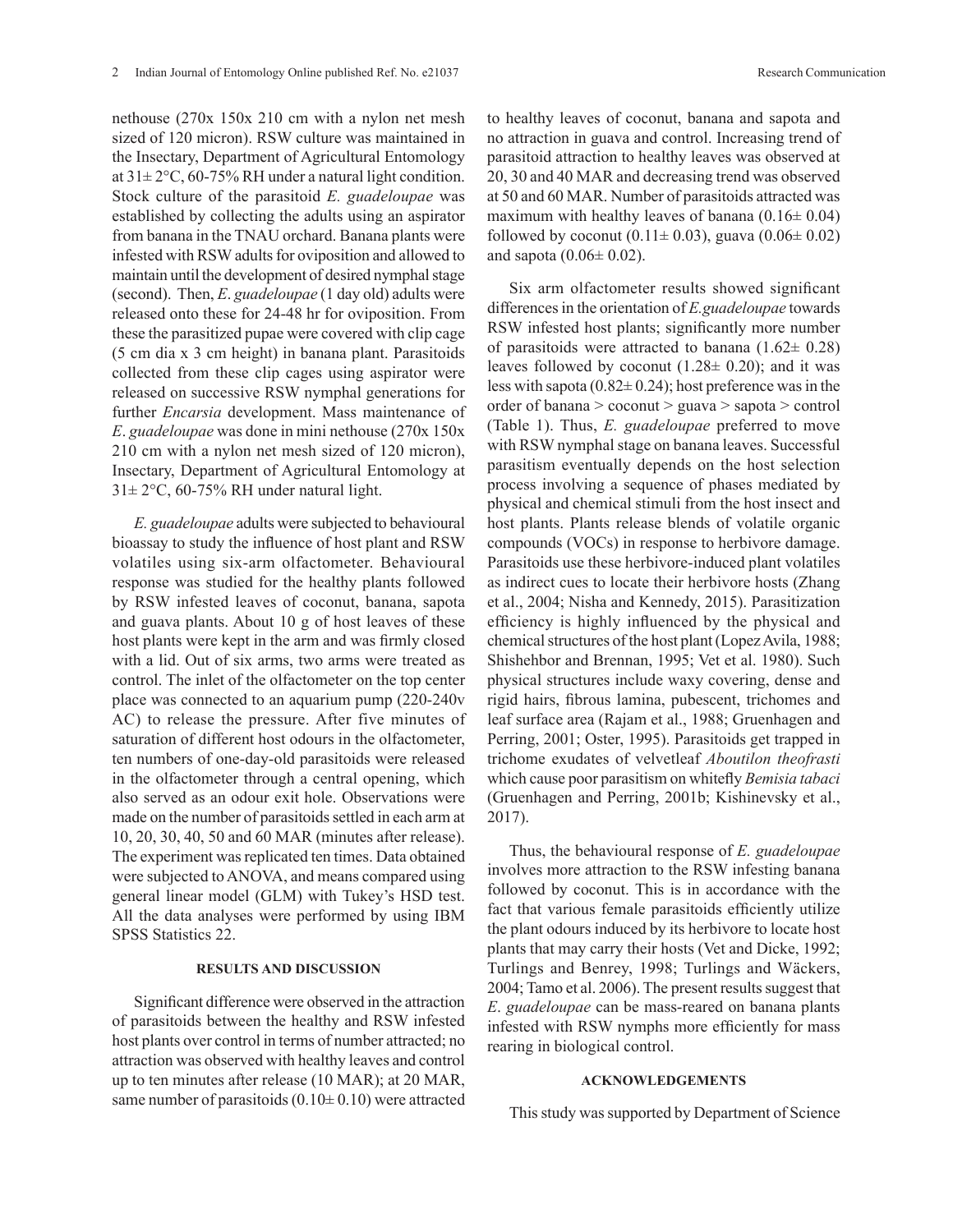nethouse (270x 150x 210 cm with a nylon net mesh sized of 120 micron). RSW culture was maintained in the Insectary, Department of Agricultural Entomology at  $31 \pm 2^{\circ}\text{C}$ , 60-75% RH under a natural light condition. Stock culture of the parasitoid *E. guadeloupae* was established by collecting the adults using an aspirator from banana in the TNAU orchard. Banana plants were infested with RSW adults for oviposition and allowed to maintain until the development of desired nymphal stage (second). Then, *E*. *guadeloupae* (1 day old) adults were released onto these for 24-48 hr for oviposition. From these the parasitized pupae were covered with clip cage (5 cm dia x 3 cm height) in banana plant. Parasitoids collected from these clip cages using aspirator were released on successive RSW nymphal generations for further *Encarsia* development. Mass maintenance of *E*. *guadeloupae* was done in mini nethouse (270x 150x 210 cm with a nylon net mesh sized of 120 micron), Insectary, Department of Agricultural Entomology at  $31 \pm 2$ °C, 60-75% RH under natural light.

*E. guadeloupae* adults were subjected to behavioural bioassay to study the influence of host plant and RSW volatiles using six-arm olfactometer. Behavioural response was studied for the healthy plants followed by RSW infested leaves of coconut, banana, sapota and guava plants. About 10 g of host leaves of these host plants were kept in the arm and was firmly closed with a lid. Out of six arms, two arms were treated as control. The inlet of the olfactometer on the top center place was connected to an aquarium pump (220-240v AC) to release the pressure. After five minutes of saturation of different host odours in the olfactometer, ten numbers of one-day-old parasitoids were released in the olfactometer through a central opening, which also served as an odour exit hole. Observations were made on the number of parasitoids settled in each arm at 10, 20, 30, 40, 50 and 60 MAR (minutes after release). The experiment was replicated ten times. Data obtained were subjected to ANOVA, and means compared using general linear model (GLM) with Tukey's HSD test. All the data analyses were performed by using IBM SPSS Statistics 22.

#### **RESULTS AND DISCUSSION**

Significant difference were observed in the attraction of parasitoids between the healthy and RSW infested host plants over control in terms of number attracted; no attraction was observed with healthy leaves and control up to ten minutes after release (10 MAR); at 20 MAR, same number of parasitoids  $(0.10 \pm 0.10)$  were attracted to healthy leaves of coconut, banana and sapota and no attraction in guava and control. Increasing trend of parasitoid attraction to healthy leaves was observed at 20, 30 and 40 MAR and decreasing trend was observed at 50 and 60 MAR. Number of parasitoids attracted was maximum with healthy leaves of banana  $(0.16 \pm 0.04)$ followed by coconut  $(0.11 \pm 0.03)$ , guava  $(0.06 \pm 0.02)$ and sapota  $(0.06 \pm 0.02)$ .

Six arm olfactometer results showed significant differences in the orientation of *E.guadeloupae* towards RSW infested host plants; significantly more number of parasitoids were attracted to banana  $(1.62 \pm 0.28)$ leaves followed by coconut  $(1.28 \pm 0.20)$ ; and it was less with sapota  $(0.82 \pm 0.24)$ ; host preference was in the order of banana > coconut > guava > sapota > control (Table 1). Thus, *E. guadeloupae* preferred to move with RSW nymphal stage on banana leaves. Successful parasitism eventually depends on the host selection process involving a sequence of phases mediated by physical and chemical stimuli from the host insect and host plants. Plants release blends of volatile organic compounds (VOCs) in response to herbivore damage. Parasitoids use these herbivore-induced plant volatiles as indirect cues to locate their herbivore hosts (Zhang et al., 2004; Nisha and Kennedy, 2015). Parasitization efficiency is highly influenced by the physical and chemical structures of the host plant (Lopez Avila, 1988; Shishehbor and Brennan, 1995; Vet et al. 1980). Such physical structures include waxy covering, dense and rigid hairs, fibrous lamina, pubescent, trichomes and leaf surface area (Rajam et al., 1988; Gruenhagen and Perring, 2001; Oster, 1995). Parasitoids get trapped in trichome exudates of velvetleaf *Aboutilon theofrasti*  which cause poor parasitism on whitefly *Bemisia tabaci*  (Gruenhagen and Perring, 2001b; Kishinevsky et al., 2017).

Thus, the behavioural response of *E. guadeloupae* involves more attraction to the RSW infesting banana followed by coconut. This is in accordance with the fact that various female parasitoids efficiently utilize the plant odours induced by its herbivore to locate host plants that may carry their hosts (Vet and Dicke, 1992; Turlings and Benrey, 1998; Turlings and Wäckers, 2004; Tamo et al. 2006). The present results suggest that *E*. *guadeloupae* can be mass-reared on banana plants infested with RSW nymphs more efficiently for mass rearing in biological control.

## **ACKNOWLEDGEMENTS**

This study was supported by Department of Science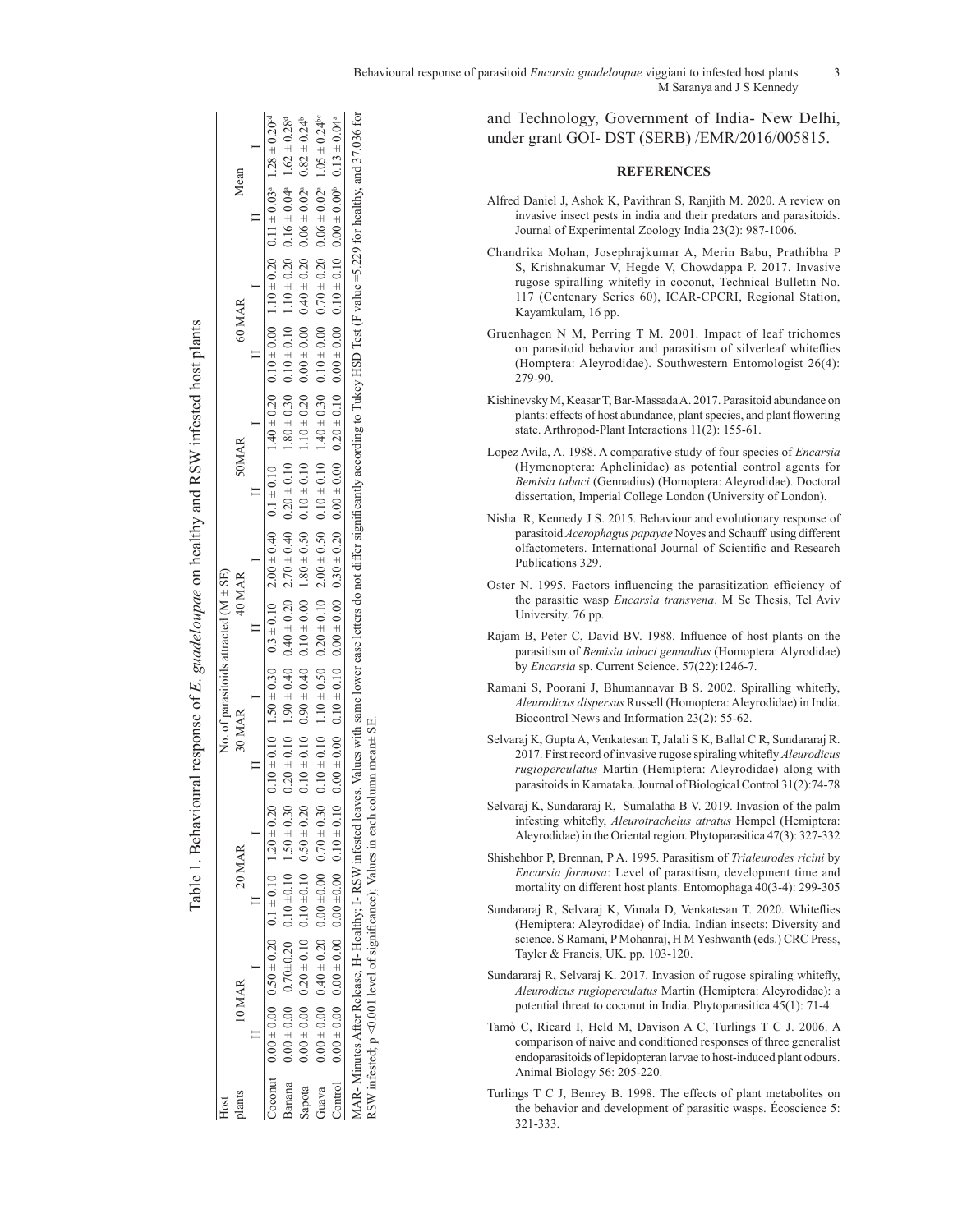| No. of parasitoids attracted $(M \pm SE)$ | Mean   |                                                                                                                                                                                                                                                                       |                                                                                                                        |                                                                                                                                                                                                                                                             |                                                                                                                                                                                                                                                                  |                                                                                                                                                                                                                                                                    |                                                                                                                                                                                                        |
|-------------------------------------------|--------|-----------------------------------------------------------------------------------------------------------------------------------------------------------------------------------------------------------------------------------------------------------------------|------------------------------------------------------------------------------------------------------------------------|-------------------------------------------------------------------------------------------------------------------------------------------------------------------------------------------------------------------------------------------------------------|------------------------------------------------------------------------------------------------------------------------------------------------------------------------------------------------------------------------------------------------------------------|--------------------------------------------------------------------------------------------------------------------------------------------------------------------------------------------------------------------------------------------------------------------|--------------------------------------------------------------------------------------------------------------------------------------------------------------------------------------------------------|
|                                           |        |                                                                                                                                                                                                                                                                       |                                                                                                                        |                                                                                                                                                                                                                                                             |                                                                                                                                                                                                                                                                  |                                                                                                                                                                                                                                                                    |                                                                                                                                                                                                        |
|                                           | 60 MAR | $0.10 + 0.10 + 0.04 = 0.7 + 0.3 + 0.7 = 0.10$<br>$0.3 + 0.10 + 0.10 + 0.10 + 0.10 + 0.10 + 0.10 + 0.10 + 0.10 + 0.20 + 0.20 + 0.20 + 0.20 + 0.20 + 0.20 + 0.20 + 0.20 + 0.20 + 0.20 + 0.20 + 0.20 + 0.20 + 0.20 + 0.20 + 0.20 + 0.20 + 0.20 + 0.20 + 0.20 + 0.20 + 0$ | $0.20 + 0.10 + 0.10 + 0.40 + 0.40 + 0.20 + 0.20 + 0.10 + 0.10 + 0.10 + 0.10 + 0.10 + 0.10 + 0.20 + 0.10 + 0.20 + 0.28$ | $(10 + 0.9 + 0.9) + 0.40$ $(0.10 + 0.9) + 0.10 + 0.10$ $(0.10 + 0.10 + 0.10) + 0.00 + 0.00$ $(0.10 + 0.10 + 0.00) + 0.00 + 0.00 + 0.00 + 0.00 + 0.00 + 0.00 + 0.00 + 0.00 + 0.00 + 0.00 + 0.00 + 0.00 + 0.00 + 0.00 + 0.00 + 0.00 + 0.00 + 0.00 + 0.00 + 0$ | $0.10 + 0.10 + 0.00 + 0.00 + 0.00 + 0.10$ $0.10 + 0.10 + 0.10 + 0.10 + 0.10 + 0.000$ $0.10 + 0.20 + 0.00 + 0.00 + 0.00 + 0.00 + 0.00 + 0.00 + 0.00 + 0.00 + 0.00 + 0.00 + 0.00 + 0.00 + 0.00 + 0.00 + 0.00 + 0.00 + 0.00 + 0.00 + 0.00 + 0.00 + 0.00 + 0.00 + 0$ | $0.00 + 0.10 + 0.10 + 0.00 + 0.00 + 0.00 + 0.00 + 0.00 + 0.00 + 0.00 + 0.00 + 0.00 + 0.00 + 0.00 + 0.00 + 0.00 + 0.00 + 0.00 + 0.00 + 0.00 + 0.00 + 0.00 + 0.00 + 0.00 + 0.00 + 0.00 + 0.00 + 0.00 + 0.00 + 0.00 + 0.00 + 0.00 + 0.00 + 0.00 + 0.00 + 0.00 + 0.00$ | MAR-Minutes After Release, H- Healthy, I- RSW infested leaves. Values with same lower case letters do not differ significantly according to Tukey HSD Test (F value =5.229 for healthy, and 37.036 for |
|                                           |        |                                                                                                                                                                                                                                                                       |                                                                                                                        |                                                                                                                                                                                                                                                             |                                                                                                                                                                                                                                                                  |                                                                                                                                                                                                                                                                    |                                                                                                                                                                                                        |
|                                           | 50MAR  |                                                                                                                                                                                                                                                                       |                                                                                                                        |                                                                                                                                                                                                                                                             |                                                                                                                                                                                                                                                                  |                                                                                                                                                                                                                                                                    |                                                                                                                                                                                                        |
|                                           |        |                                                                                                                                                                                                                                                                       |                                                                                                                        |                                                                                                                                                                                                                                                             |                                                                                                                                                                                                                                                                  |                                                                                                                                                                                                                                                                    |                                                                                                                                                                                                        |
|                                           | 40 MAR |                                                                                                                                                                                                                                                                       |                                                                                                                        |                                                                                                                                                                                                                                                             |                                                                                                                                                                                                                                                                  |                                                                                                                                                                                                                                                                    |                                                                                                                                                                                                        |
|                                           |        |                                                                                                                                                                                                                                                                       |                                                                                                                        |                                                                                                                                                                                                                                                             |                                                                                                                                                                                                                                                                  |                                                                                                                                                                                                                                                                    |                                                                                                                                                                                                        |
|                                           | 30 MAR |                                                                                                                                                                                                                                                                       |                                                                                                                        |                                                                                                                                                                                                                                                             |                                                                                                                                                                                                                                                                  |                                                                                                                                                                                                                                                                    |                                                                                                                                                                                                        |
|                                           |        |                                                                                                                                                                                                                                                                       |                                                                                                                        |                                                                                                                                                                                                                                                             |                                                                                                                                                                                                                                                                  |                                                                                                                                                                                                                                                                    |                                                                                                                                                                                                        |
|                                           | 20 MAR |                                                                                                                                                                                                                                                                       |                                                                                                                        |                                                                                                                                                                                                                                                             |                                                                                                                                                                                                                                                                  |                                                                                                                                                                                                                                                                    |                                                                                                                                                                                                        |
|                                           |        |                                                                                                                                                                                                                                                                       |                                                                                                                        |                                                                                                                                                                                                                                                             |                                                                                                                                                                                                                                                                  |                                                                                                                                                                                                                                                                    |                                                                                                                                                                                                        |
|                                           | 10 MAR |                                                                                                                                                                                                                                                                       | $0.00 \pm 0.00$ $0.70 \pm 0.10$ $0.10 \pm 0.10$ $1.50 \pm 0.30$                                                        | $0.00 \pm 0.00$ $0.10 \pm 0.10$ $0.10 \pm 0.10$ $0.50 \pm 0.20$                                                                                                                                                                                             | $0.00 + 0.00 + 0.40 + 0.20 + 0.00 + 0.00 + 0.30$                                                                                                                                                                                                                 |                                                                                                                                                                                                                                                                    |                                                                                                                                                                                                        |
|                                           |        | Coconut $0.00 \pm 0.00$ $0.50 \pm 0.20$ $0.1 \pm 0.10$ $1.20 \pm 0.20$                                                                                                                                                                                                |                                                                                                                        |                                                                                                                                                                                                                                                             |                                                                                                                                                                                                                                                                  | Control $0.00 \pm 0.00$ $0.00 \pm 0.00$ $0.00 \pm 0.00$ $0.10 \pm 0.10$                                                                                                                                                                                            |                                                                                                                                                                                                        |
| Host                                      | plants |                                                                                                                                                                                                                                                                       | Banana                                                                                                                 | Sapota                                                                                                                                                                                                                                                      | Guava                                                                                                                                                                                                                                                            |                                                                                                                                                                                                                                                                    |                                                                                                                                                                                                        |

RSW infested; p <0.001 level of significance); Values in each column mean± SE.

RSW infested; p <0.001 level of significance); Values in each column mean± SE

Table 1. Behavioural response of E. guadeloupae on healthy and RSW infested host plants Table 1. Behavioural response of *E. guadeloupae* on healthy and RSW infested host plants and Technology, Government of India- New Delhi, under grant GOI- DST (SERB) /EMR/2016/005815.

#### **REFERENCES**

- Alfred Daniel J, Ashok K, Pavithran S, Ranjith M. 2020. A review on invasive insect pests in india and their predators and parasitoids. Journal of Experimental Zoology India 23(2): 987-1006.
- Chandrika Mohan, Josephrajkumar A, Merin Babu, Prathibha P S, Krishnakumar V, Hegde V, Chowdappa P. 2017. Invasive rugose spiralling whitefly in coconut, Technical Bulletin No. 117 (Centenary Series 60), ICAR-CPCRI, Regional Station, Kayamkulam, 16 pp.
- Gruenhagen N M, Perring T M. 2001. Impact of leaf trichomes on parasitoid behavior and parasitism of silverleaf whiteflies (Homptera: Aleyrodidae). Southwestern Entomologist 26(4): 279-90.
- Kishinevsky M, Keasar T, Bar-Massada A. 2017. Parasitoid abundance on plants: effects of host abundance, plant species, and plant flowering state. Arthropod-Plant Interactions 11(2): 155-61.
- Lopez Avila, A. 1988. A comparative study of four species of *Encarsia* (Hymenoptera: Aphelinidae) as potential control agents for *Bemisia tabaci* (Gennadius) (Homoptera: Aleyrodidae). Doctoral dissertation, Imperial College London (University of London).
- Nisha R, Kennedy J S. 2015. Behaviour and evolutionary response of parasitoid *Acerophagus papayae* Noyes and Schauff using different olfactometers. International Journal of Scientific and Research Publications 329.
- Oster N. 1995. Factors influencing the parasitization efficiency of the parasitic wasp *Encarsia transvena*. M Sc Thesis, Tel Aviv University. 76 pp.
- Rajam B, Peter C, David BV. 1988. Influence of host plants on the parasitism of *Bemisia tabaci gennadius* (Homoptera: Alyrodidae) by *Encarsia* sp. Current Science. 57(22):1246-7.
- Ramani S, Poorani J, Bhumannavar B S. 2002. Spiralling whitefly, *Aleurodicus dispersus* Russell (Homoptera: Aleyrodidae) in India. Biocontrol News and Information 23(2): 55-62.
- Selvaraj K, Gupta A, Venkatesan T, Jalali S K, Ballal C R, Sundararaj R. 2017. First record of invasive rugose spiraling whitefly *Aleurodicus rugioperculatus* Martin (Hemiptera: Aleyrodidae) along with parasitoids in Karnataka. Journal of Biological Control 31(2):74-78
- Selvaraj K, Sundararaj R, Sumalatha B V. 2019. Invasion of the palm infesting whitefly, *Aleurotrachelus atratus* Hempel (Hemiptera: Aleyrodidae) in the Oriental region. Phytoparasitica 47(3): 327-332
- Shishehbor P, Brennan, P A. 1995. Parasitism of *Trialeurodes ricini* by *Encarsia formosa*: Level of parasitism, development time and mortality on different host plants. Entomophaga 40(3-4): 299-305
- Sundararaj R, Selvaraj K, Vimala D, Venkatesan T. 2020. Whiteflies (Hemiptera: Aleyrodidae) of India. Indian insects: Diversity and science. S Ramani, P Mohanraj, H M Yeshwanth (eds.) CRC Press, Tayler & Francis, UK. pp. 103-120.
- Sundararaj R, Selvaraj K. 2017. Invasion of rugose spiraling whitefly, *Aleurodicus rugioperculatus* Martin (Hemiptera: Aleyrodidae): a potential threat to coconut in India. Phytoparasitica 45(1): 71-4.
- Tamò C, Ricard I, Held M, Davison A C, Turlings T C J. 2006. A comparison of naive and conditioned responses of three generalist endoparasitoids of lepidopteran larvae to host-induced plant odours. Animal Biology 56: 205-220.
- Turlings T C J, Benrey B. 1998. The effects of plant metabolites on the behavior and development of parasitic wasps. Écoscience 5: 321-333.